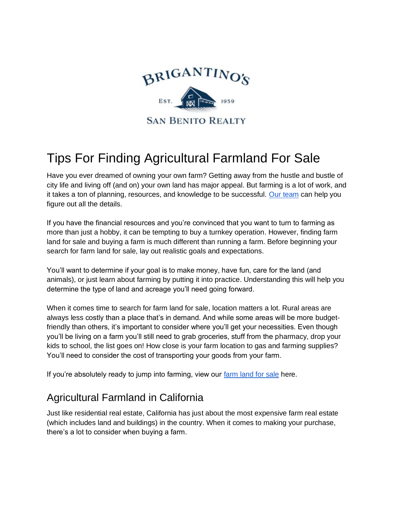

## Tips For Finding Agricultural Farmland For Sale

Have you ever dreamed of owning your own farm? Getting away from the hustle and bustle of city life and living off (and on) your own land has major appeal. But farming is a lot of work, and it takes a ton of planning, resources, and knowledge to be successful. [Our team](https://sanbenitorealty.com/real-estate-in-hollister-ca/) can help you figure out all the details.

If you have the financial resources and you're convinced that you want to turn to farming as more than just a hobby, it can be tempting to buy a turnkey operation. However, finding farm land for sale and buying a farm is much different than running a farm. Before beginning your search for farm land for sale, lay out realistic goals and expectations.

You'll want to determine if your goal is to make money, have fun, care for the land (and animals), or just learn about farming by putting it into practice. Understanding this will help you determine the type of land and acreage you'll need going forward.

When it comes time to search for farm land for sale, location matters a lot. Rural areas are always less costly than a place that's in demand. And while some areas will be more budgetfriendly than others, it's important to consider where you'll get your necessities. Even though you'll be living on a farm you'll still need to grab groceries, stuff from the pharmacy, drop your kids to school, the list goes on! How close is your farm location to gas and farming supplies? You'll need to consider the cost of transporting your goods from your farm.

If you're absolutely ready to jump into farming, view our [farm land for sale](https://sanbenitorealty.com/properties/?property_status_data=for%20sale&sort=global&property_category_terms=50&post_type=property) here.

## Agricultural Farmland in California

Just like residential real estate, California has just about the most expensive farm real estate (which includes land and buildings) in the country. When it comes to making your purchase, there's a lot to consider when buying a farm.